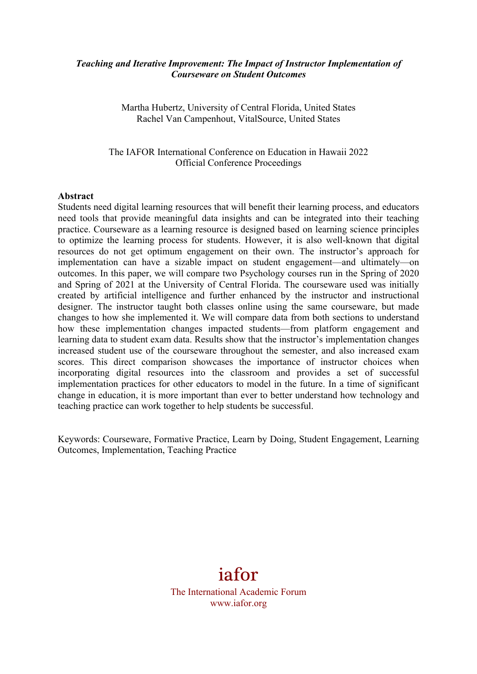## *Teaching and Iterative Improvement: The Impact of Instructor Implementation of Courseware on Student Outcomes*

Martha Hubertz, University of Central Florida, United States Rachel Van Campenhout, VitalSource, United States

The IAFOR International Conference on Education in Hawaii 2022 Official Conference Proceedings

#### **Abstract**

Students need digital learning resources that will benefit their learning process, and educators need tools that provide meaningful data insights and can be integrated into their teaching practice. Courseware as a learning resource is designed based on learning science principles to optimize the learning process for students. However, it is also well-known that digital resources do not get optimum engagement on their own. The instructor's approach for implementation can have a sizable impact on student engagement—and ultimately—on outcomes. In this paper, we will compare two Psychology courses run in the Spring of 2020 and Spring of 2021 at the University of Central Florida. The courseware used was initially created by artificial intelligence and further enhanced by the instructor and instructional designer. The instructor taught both classes online using the same courseware, but made changes to how she implemented it. We will compare data from both sections to understand how these implementation changes impacted students—from platform engagement and learning data to student exam data. Results show that the instructor's implementation changes increased student use of the courseware throughout the semester, and also increased exam scores. This direct comparison showcases the importance of instructor choices when incorporating digital resources into the classroom and provides a set of successful implementation practices for other educators to model in the future. In a time of significant change in education, it is more important than ever to better understand how technology and teaching practice can work together to help students be successful.

Keywords: Courseware, Formative Practice, Learn by Doing, Student Engagement, Learning Outcomes, Implementation, Teaching Practice

# iafor The International Academic Forum www.iafor.org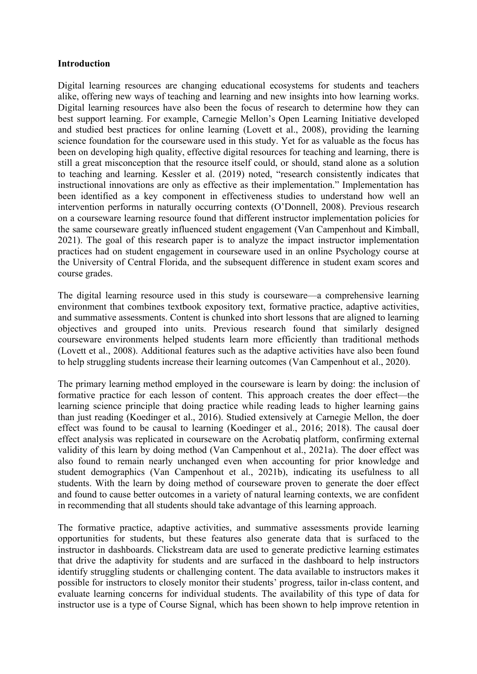## **Introduction**

Digital learning resources are changing educational ecosystems for students and teachers alike, offering new ways of teaching and learning and new insights into how learning works. Digital learning resources have also been the focus of research to determine how they can best support learning. For example, Carnegie Mellon's Open Learning Initiative developed and studied best practices for online learning (Lovett et al., 2008), providing the learning science foundation for the courseware used in this study. Yet for as valuable as the focus has been on developing high quality, effective digital resources for teaching and learning, there is still a great misconception that the resource itself could, or should, stand alone as a solution to teaching and learning. Kessler et al. (2019) noted, "research consistently indicates that instructional innovations are only as effective as their implementation." Implementation has been identified as a key component in effectiveness studies to understand how well an intervention performs in naturally occurring contexts (O'Donnell, 2008). Previous research on a courseware learning resource found that different instructor implementation policies for the same courseware greatly influenced student engagement (Van Campenhout and Kimball, 2021). The goal of this research paper is to analyze the impact instructor implementation practices had on student engagement in courseware used in an online Psychology course at the University of Central Florida, and the subsequent difference in student exam scores and course grades.

The digital learning resource used in this study is courseware—a comprehensive learning environment that combines textbook expository text, formative practice, adaptive activities, and summative assessments. Content is chunked into short lessons that are aligned to learning objectives and grouped into units. Previous research found that similarly designed courseware environments helped students learn more efficiently than traditional methods (Lovett et al., 2008). Additional features such as the adaptive activities have also been found to help struggling students increase their learning outcomes (Van Campenhout et al., 2020).

The primary learning method employed in the courseware is learn by doing: the inclusion of formative practice for each lesson of content. This approach creates the doer effect—the learning science principle that doing practice while reading leads to higher learning gains than just reading (Koedinger et al., 2016). Studied extensively at Carnegie Mellon, the doer effect was found to be causal to learning (Koedinger et al., 2016; 2018). The causal doer effect analysis was replicated in courseware on the Acrobatiq platform, confirming external validity of this learn by doing method (Van Campenhout et al., 2021a). The doer effect was also found to remain nearly unchanged even when accounting for prior knowledge and student demographics (Van Campenhout et al., 2021b), indicating its usefulness to all students. With the learn by doing method of courseware proven to generate the doer effect and found to cause better outcomes in a variety of natural learning contexts, we are confident in recommending that all students should take advantage of this learning approach.

The formative practice, adaptive activities, and summative assessments provide learning opportunities for students, but these features also generate data that is surfaced to the instructor in dashboards. Clickstream data are used to generate predictive learning estimates that drive the adaptivity for students and are surfaced in the dashboard to help instructors identify struggling students or challenging content. The data available to instructors makes it possible for instructors to closely monitor their students' progress, tailor in-class content, and evaluate learning concerns for individual students. The availability of this type of data for instructor use is a type of Course Signal, which has been shown to help improve retention in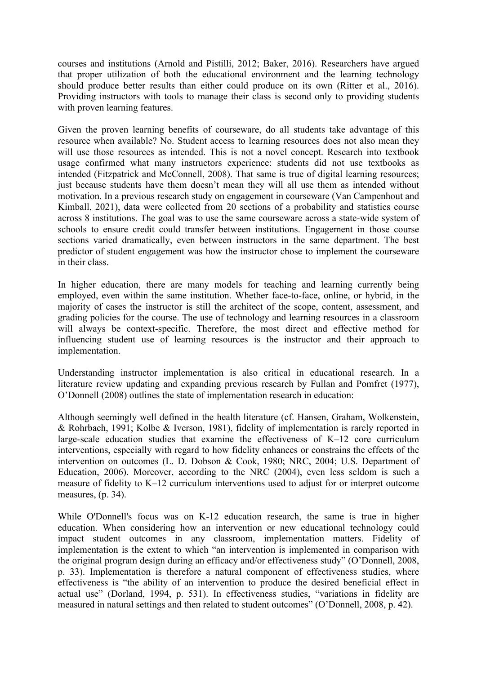courses and institutions (Arnold and Pistilli, 2012; Baker, 2016). Researchers have argued that proper utilization of both the educational environment and the learning technology should produce better results than either could produce on its own (Ritter et al., 2016). Providing instructors with tools to manage their class is second only to providing students with proven learning features.

Given the proven learning benefits of courseware, do all students take advantage of this resource when available? No. Student access to learning resources does not also mean they will use those resources as intended. This is not a novel concept. Research into textbook usage confirmed what many instructors experience: students did not use textbooks as intended (Fitzpatrick and McConnell, 2008). That same is true of digital learning resources; just because students have them doesn't mean they will all use them as intended without motivation. In a previous research study on engagement in courseware (Van Campenhout and Kimball, 2021), data were collected from 20 sections of a probability and statistics course across 8 institutions. The goal was to use the same courseware across a state-wide system of schools to ensure credit could transfer between institutions. Engagement in those course sections varied dramatically, even between instructors in the same department. The best predictor of student engagement was how the instructor chose to implement the courseware in their class.

In higher education, there are many models for teaching and learning currently being employed, even within the same institution. Whether face-to-face, online, or hybrid, in the majority of cases the instructor is still the architect of the scope, content, assessment, and grading policies for the course. The use of technology and learning resources in a classroom will always be context-specific. Therefore, the most direct and effective method for influencing student use of learning resources is the instructor and their approach to implementation.

Understanding instructor implementation is also critical in educational research. In a literature review updating and expanding previous research by Fullan and Pomfret (1977), O'Donnell (2008) outlines the state of implementation research in education:

Although seemingly well defined in the health literature (cf. Hansen, Graham, Wolkenstein, & Rohrbach, 1991; Kolbe & Iverson, 1981), fidelity of implementation is rarely reported in large-scale education studies that examine the effectiveness of K–12 core curriculum interventions, especially with regard to how fidelity enhances or constrains the effects of the intervention on outcomes (L. D. Dobson & Cook, 1980; NRC, 2004; U.S. Department of Education, 2006). Moreover, according to the NRC (2004), even less seldom is such a measure of fidelity to K–12 curriculum interventions used to adjust for or interpret outcome measures, (p. 34).

While O'Donnell's focus was on K-12 education research, the same is true in higher education. When considering how an intervention or new educational technology could impact student outcomes in any classroom, implementation matters. Fidelity of implementation is the extent to which "an intervention is implemented in comparison with the original program design during an efficacy and/or effectiveness study" (O'Donnell, 2008, p. 33). Implementation is therefore a natural component of effectiveness studies, where effectiveness is "the ability of an intervention to produce the desired beneficial effect in actual use" (Dorland, 1994, p. 531). In effectiveness studies, "variations in fidelity are measured in natural settings and then related to student outcomes" (O'Donnell, 2008, p. 42).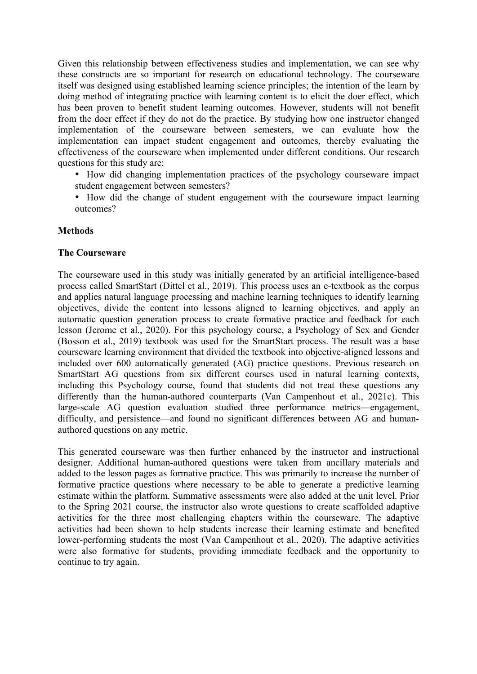Given this relationship between effectiveness studies and implementation, we can see why these constructs are so important for research on educational technology. The courseware itself was designed using established learning science principles; the intention of the learn by doing method of integrating practice with learning content is to elicit the doer effect, which has been proven to benefit student learning outcomes. However, students will not benefit from the doer effect if they do not do the practice. By studying how one instructor changed implementation of the courseware between semesters, we can evaluate how the implementation can impact student engagement and outcomes, thereby evaluating the effectiveness of the courseware when implemented under different conditions. Our research questions for this study are:

- How did changing implementation practices of the psychology courseware impact student engagement between semesters?
- How did the change of student engagement with the courseware impact learning outcomes?

# **Methods**

#### **The Courseware**

The courseware used in this study was initially generated by an artificial intelligence-based process called SmartStart (Dittel et al., 2019). This process uses an e-textbook as the corpus and applies natural language processing and machine learning techniques to identify learning objectives, divide the content into lessons aligned to learning objectives, and apply an automatic question generation process to create formative practice and feedback for each lesson (Jerome et al., 2020). For this psychology course, a Psychology of Sex and Gender (Bosson et al., 2019) textbook was used for the SmartStart process. The result was a base courseware learning environment that divided the textbook into objective-aligned lessons and included over 600 automatically generated (AG) practice questions. Previous research on SmartStart AG questions from six different courses used in natural learning contexts, including this Psychology course, found that students did not treat these questions any differently than the human-authored counterparts (Van Campenhout et al., 2021c). This large-scale AG question evaluation studied three performance metrics—engagement, difficulty, and persistence—and found no significant differences between AG and humanauthored questions on any metric.

This generated courseware was then further enhanced by the instructor and instructional designer. Additional human-authored questions were taken from ancillary materials and added to the lesson pages as formative practice. This was primarily to increase the number of formative practice questions where necessary to be able to generate a predictive learning estimate within the platform. Summative assessments were also added at the unit level. Prior to the Spring 2021 course, the instructor also wrote questions to create scaffolded adaptive activities for the three most challenging chapters within the courseware. The adaptive activities had been shown to help students increase their learning estimate and benefited lower-performing students the most (Van Campenhout et al., 2020). The adaptive activities were also formative for students, providing immediate feedback and the opportunity to continue to try again.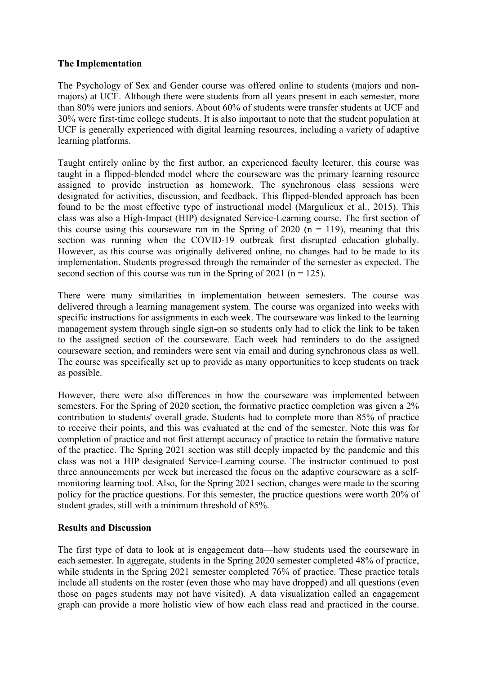# **The Implementation**

The Psychology of Sex and Gender course was offered online to students (majors and nonmajors) at UCF. Although there were students from all years present in each semester, more than 80% were juniors and seniors. About 60% of students were transfer students at UCF and 30% were first-time college students. It is also important to note that the student population at UCF is generally experienced with digital learning resources, including a variety of adaptive learning platforms.

Taught entirely online by the first author, an experienced faculty lecturer, this course was taught in a flipped-blended model where the courseware was the primary learning resource assigned to provide instruction as homework. The synchronous class sessions were designated for activities, discussion, and feedback. This flipped-blended approach has been found to be the most effective type of instructional model (Margulieux et al., 2015). This class was also a High-Impact (HIP) designated Service-Learning course. The first section of this course using this courseware ran in the Spring of 2020 ( $n = 119$ ), meaning that this section was running when the COVID-19 outbreak first disrupted education globally. However, as this course was originally delivered online, no changes had to be made to its implementation. Students progressed through the remainder of the semester as expected. The second section of this course was run in the Spring of 2021 ( $n = 125$ ).

There were many similarities in implementation between semesters. The course was delivered through a learning management system. The course was organized into weeks with specific instructions for assignments in each week. The courseware was linked to the learning management system through single sign-on so students only had to click the link to be taken to the assigned section of the courseware. Each week had reminders to do the assigned courseware section, and reminders were sent via email and during synchronous class as well. The course was specifically set up to provide as many opportunities to keep students on track as possible.

However, there were also differences in how the courseware was implemented between semesters. For the Spring of 2020 section, the formative practice completion was given a 2% contribution to students' overall grade. Students had to complete more than 85% of practice to receive their points, and this was evaluated at the end of the semester. Note this was for completion of practice and not first attempt accuracy of practice to retain the formative nature of the practice. The Spring 2021 section was still deeply impacted by the pandemic and this class was not a HIP designated Service-Learning course. The instructor continued to post three announcements per week but increased the focus on the adaptive courseware as a selfmonitoring learning tool. Also, for the Spring 2021 section, changes were made to the scoring policy for the practice questions. For this semester, the practice questions were worth 20% of student grades, still with a minimum threshold of 85%.

# **Results and Discussion**

The first type of data to look at is engagement data—how students used the courseware in each semester. In aggregate, students in the Spring 2020 semester completed 48% of practice, while students in the Spring 2021 semester completed 76% of practice. These practice totals include all students on the roster (even those who may have dropped) and all questions (even those on pages students may not have visited). A data visualization called an engagement graph can provide a more holistic view of how each class read and practiced in the course.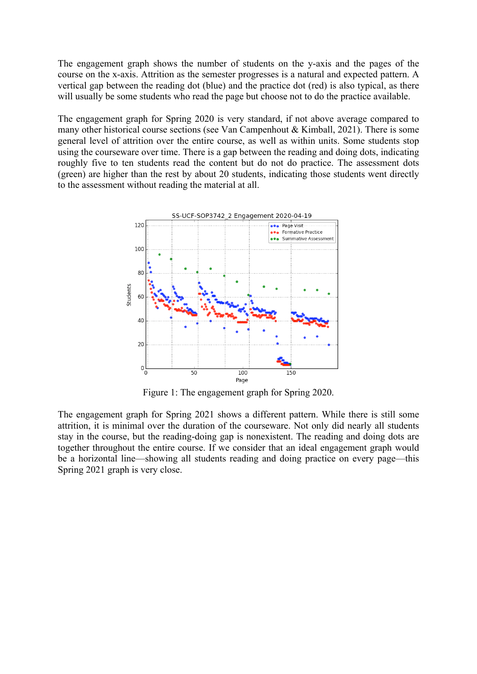The engagement graph shows the number of students on the y-axis and the pages of the course on the x-axis. Attrition as the semester progresses is a natural and expected pattern. A vertical gap between the reading dot (blue) and the practice dot (red) is also typical, as there will usually be some students who read the page but choose not to do the practice available.

The engagement graph for Spring 2020 is very standard, if not above average compared to many other historical course sections (see Van Campenhout & Kimball, 2021). There is some general level of attrition over the entire course, as well as within units. Some students stop using the courseware over time. There is a gap between the reading and doing dots, indicating roughly five to ten students read the content but do not do practice. The assessment dots (green) are higher than the rest by about 20 students, indicating those students went directly to the assessment without reading the material at all.



Figure 1: The engagement graph for Spring 2020.

The engagement graph for Spring 2021 shows a different pattern. While there is still some attrition, it is minimal over the duration of the courseware. Not only did nearly all students stay in the course, but the reading-doing gap is nonexistent. The reading and doing dots are together throughout the entire course. If we consider that an ideal engagement graph would be a horizontal line—showing all students reading and doing practice on every page—this Spring 2021 graph is very close.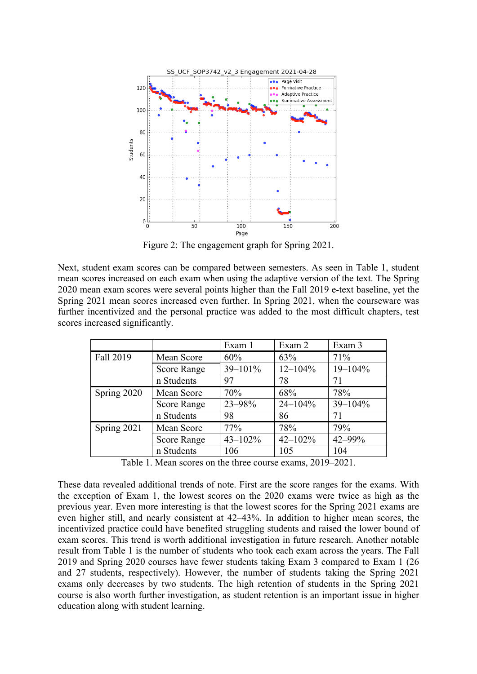

Figure 2: The engagement graph for Spring 2021.

Next, student exam scores can be compared between semesters. As seen in Table 1, student mean scores increased on each exam when using the adaptive version of the text. The Spring 2020 mean exam scores were several points higher than the Fall 2019 e-text baseline, yet the Spring 2021 mean scores increased even further. In Spring 2021, when the courseware was further incentivized and the personal practice was added to the most difficult chapters, test scores increased significantly.

|             |                    | Exam 1       | Exam 2       | Exam 3       |
|-------------|--------------------|--------------|--------------|--------------|
| Fall 2019   | Mean Score         | 60%          | 63%          | 71%          |
|             | <b>Score Range</b> | $39 - 101\%$ | $12 - 104\%$ | $19 - 104\%$ |
|             | n Students         | 97           | 78           | 71           |
| Spring 2020 | Mean Score         | 70%          | 68%          | 78%          |
|             | <b>Score Range</b> | 23-98%       | $24 - 104\%$ | $39 - 104\%$ |
|             | n Students         | 98           | 86           | 71           |
| Spring 2021 | Mean Score         | 77%          | 78%          | 79%          |
|             | <b>Score Range</b> | $43 - 102\%$ | $42 - 102%$  | $42 - 99%$   |
|             | n Students         | 106          | 105          | 104          |

Table 1. Mean scores on the three course exams, 2019–2021.

These data revealed additional trends of note. First are the score ranges for the exams. With the exception of Exam 1, the lowest scores on the 2020 exams were twice as high as the previous year. Even more interesting is that the lowest scores for the Spring 2021 exams are even higher still, and nearly consistent at 42–43%. In addition to higher mean scores, the incentivized practice could have benefited struggling students and raised the lower bound of exam scores. This trend is worth additional investigation in future research. Another notable result from Table 1 is the number of students who took each exam across the years. The Fall 2019 and Spring 2020 courses have fewer students taking Exam 3 compared to Exam 1 (26 and 27 students, respectively). However, the number of students taking the Spring 2021 exams only decreases by two students. The high retention of students in the Spring 2021 course is also worth further investigation, as student retention is an important issue in higher education along with student learning.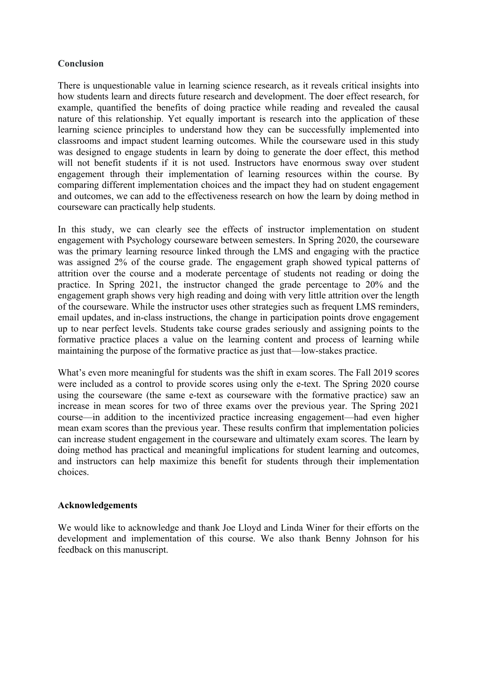# **Conclusion**

There is unquestionable value in learning science research, as it reveals critical insights into how students learn and directs future research and development. The doer effect research, for example, quantified the benefits of doing practice while reading and revealed the causal nature of this relationship. Yet equally important is research into the application of these learning science principles to understand how they can be successfully implemented into classrooms and impact student learning outcomes. While the courseware used in this study was designed to engage students in learn by doing to generate the doer effect, this method will not benefit students if it is not used. Instructors have enormous sway over student engagement through their implementation of learning resources within the course. By comparing different implementation choices and the impact they had on student engagement and outcomes, we can add to the effectiveness research on how the learn by doing method in courseware can practically help students.

In this study, we can clearly see the effects of instructor implementation on student engagement with Psychology courseware between semesters. In Spring 2020, the courseware was the primary learning resource linked through the LMS and engaging with the practice was assigned 2% of the course grade. The engagement graph showed typical patterns of attrition over the course and a moderate percentage of students not reading or doing the practice. In Spring 2021, the instructor changed the grade percentage to 20% and the engagement graph shows very high reading and doing with very little attrition over the length of the courseware. While the instructor uses other strategies such as frequent LMS reminders, email updates, and in-class instructions, the change in participation points drove engagement up to near perfect levels. Students take course grades seriously and assigning points to the formative practice places a value on the learning content and process of learning while maintaining the purpose of the formative practice as just that—low-stakes practice.

What's even more meaningful for students was the shift in exam scores. The Fall 2019 scores were included as a control to provide scores using only the e-text. The Spring 2020 course using the courseware (the same e-text as courseware with the formative practice) saw an increase in mean scores for two of three exams over the previous year. The Spring 2021 course—in addition to the incentivized practice increasing engagement—had even higher mean exam scores than the previous year. These results confirm that implementation policies can increase student engagement in the courseware and ultimately exam scores. The learn by doing method has practical and meaningful implications for student learning and outcomes, and instructors can help maximize this benefit for students through their implementation choices.

#### **Acknowledgements**

We would like to acknowledge and thank Joe Lloyd and Linda Winer for their efforts on the development and implementation of this course. We also thank Benny Johnson for his feedback on this manuscript.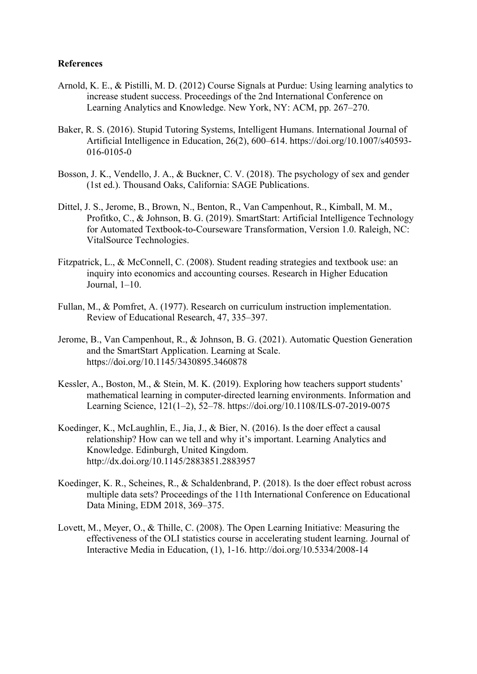## **References**

- Arnold, K. E., & Pistilli, M. D. (2012) Course Signals at Purdue: Using learning analytics to increase student success. Proceedings of the 2nd International Conference on Learning Analytics and Knowledge. New York, NY: ACM, pp. 267–270.
- Baker, R. S. (2016). Stupid Tutoring Systems, Intelligent Humans. International Journal of Artificial Intelligence in Education, 26(2), 600–614. https://doi.org/10.1007/s40593- 016-0105-0
- Bosson, J. K., Vendello, J. A., & Buckner, C. V. (2018). The psychology of sex and gender (1st ed.). Thousand Oaks, California: SAGE Publications.
- Dittel, J. S., Jerome, B., Brown, N., Benton, R., Van Campenhout, R., Kimball, M. M., Profitko, C., & Johnson, B. G. (2019). SmartStart: Artificial Intelligence Technology for Automated Textbook-to-Courseware Transformation, Version 1.0. Raleigh, NC: VitalSource Technologies.
- Fitzpatrick, L., & McConnell, C. (2008). Student reading strategies and textbook use: an inquiry into economics and accounting courses. Research in Higher Education Journal, 1–10.
- Fullan, M., & Pomfret, A. (1977). Research on curriculum instruction implementation. Review of Educational Research, 47, 335–397.
- Jerome, B., Van Campenhout, R., & Johnson, B. G. (2021). Automatic Question Generation and the SmartStart Application. Learning at Scale. https://doi.org/10.1145/3430895.3460878
- Kessler, A., Boston, M., & Stein, M. K. (2019). Exploring how teachers support students' mathematical learning in computer-directed learning environments. Information and Learning Science, 121(1–2), 52–78. https://doi.org/10.1108/ILS-07-2019-0075
- Koedinger, K., McLaughlin, E., Jia, J., & Bier, N. (2016). Is the doer effect a causal relationship? How can we tell and why it's important. Learning Analytics and Knowledge. Edinburgh, United Kingdom. http://dx.doi.org/10.1145/2883851.2883957
- Koedinger, K. R., Scheines, R., & Schaldenbrand, P. (2018). Is the doer effect robust across multiple data sets? Proceedings of the 11th International Conference on Educational Data Mining, EDM 2018, 369–375.
- Lovett, M., Meyer, O., & Thille, C. (2008). The Open Learning Initiative: Measuring the effectiveness of the OLI statistics course in accelerating student learning. Journal of Interactive Media in Education, (1), 1-16. http://doi.org/10.5334/2008-14